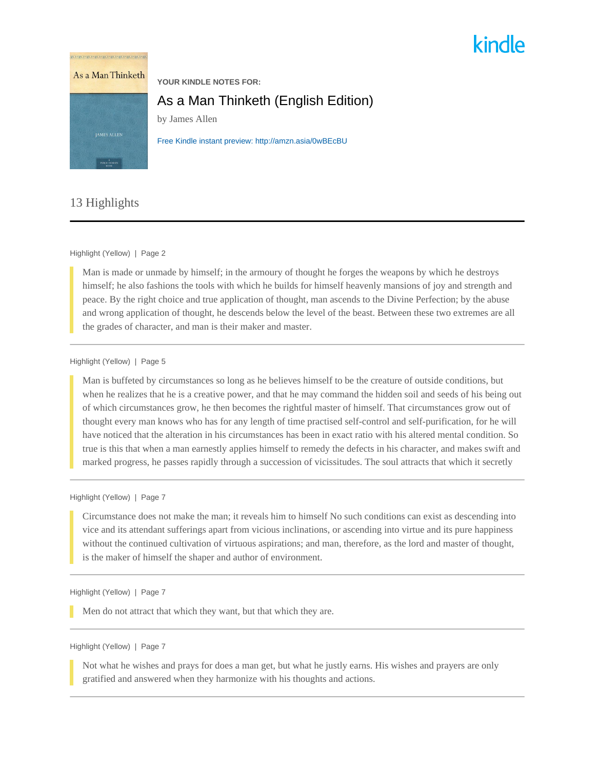# kindle



# 13 Highlights

#### Highlight (Yellow) | Page 2

Man is made or unmade by himself; in the armoury of thought he forges the weapons by which he destroys himself; he also fashions the tools with which he builds for himself heavenly mansions of joy and strength and peace. By the right choice and true application of thought, man ascends to the Divine Perfection; by the abuse and wrong application of thought, he descends below the level of the beast. Between these two extremes are all the grades of character, and man is their maker and master.

#### Highlight (Yellow) | Page 5

Man is buffeted by circumstances so long as he believes himself to be the creature of outside conditions, but when he realizes that he is a creative power, and that he may command the hidden soil and seeds of his being out of which circumstances grow, he then becomes the rightful master of himself. That circumstances grow out of thought every man knows who has for any length of time practised self-control and self-purification, for he will have noticed that the alteration in his circumstances has been in exact ratio with his altered mental condition. So true is this that when a man earnestly applies himself to remedy the defects in his character, and makes swift and marked progress, he passes rapidly through a succession of vicissitudes. The soul attracts that which it secretly

# Highlight (Yellow) | Page 7

Circumstance does not make the man; it reveals him to himself No such conditions can exist as descending into vice and its attendant sufferings apart from vicious inclinations, or ascending into virtue and its pure happiness without the continued cultivation of virtuous aspirations; and man, therefore, as the lord and master of thought, is the maker of himself the shaper and author of environment.

### Highlight (Yellow) | Page 7

Men do not attract that which they want, but that which they are.

## Highlight (Yellow) | Page 7

Not what he wishes and prays for does a man get, but what he justly earns. His wishes and prayers are only gratified and answered when they harmonize with his thoughts and actions.